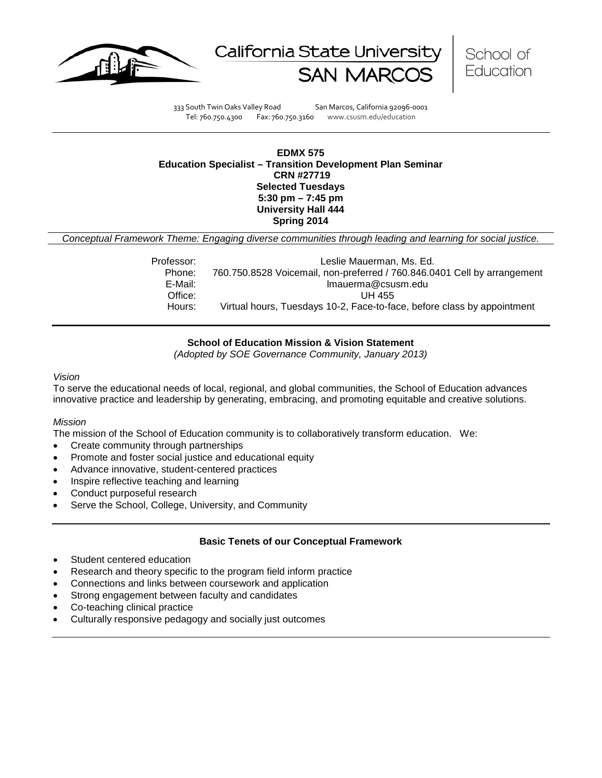





333 South Twin Oaks Valley Road San Marcos, California 92096-0001 Tel: 760.750.4300 Fax: 760.750.3160 www.csusm.edu/education

### **EDMX 575 Education Specialist – Transition Development Plan Seminar CRN #27719 Selected Tuesdays 5:30 pm – 7:45 pm University Hall 444 Spring 2014**

*Conceptual Framework Theme: Engaging diverse communities through leading and learning for social justice.*

| Professor: | Leslie Mauerman, Ms. Ed.                                                 |
|------------|--------------------------------------------------------------------------|
| Phone:     | 760.750.8528 Voicemail, non-preferred / 760.846.0401 Cell by arrangement |
| E-Mail:    | Imauerma@csusm.edu                                                       |
| Office:    | UH 455                                                                   |
| Hours:     | Virtual hours, Tuesdays 10-2, Face-to-face, before class by appointment  |

## **School of Education Mission & Vision Statement**

*(Adopted by SOE Governance Community, January 2013)*

#### *Vision*

To serve the educational needs of local, regional, and global communities, the School of Education advances innovative practice and leadership by generating, embracing, and promoting equitable and creative solutions.

## *Mission*

The mission of the School of Education community is to collaboratively transform education. We:

- Create community through partnerships
- Promote and foster social justice and educational equity
- Advance innovative, student-centered practices
- Inspire reflective teaching and learning
- Conduct purposeful research
- Serve the School, College, University, and Community

### **Basic Tenets of our Conceptual Framework**

- Student centered education
- Research and theory specific to the program field inform practice
- Connections and links between coursework and application
- Strong engagement between faculty and candidates
- Co-teaching clinical practice
- Culturally responsive pedagogy and socially just outcomes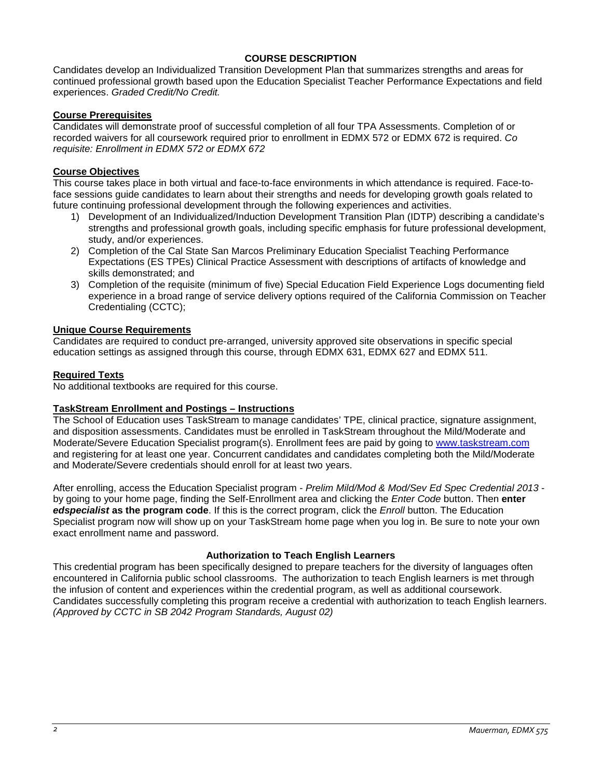## **COURSE DESCRIPTION**

Candidates develop an Individualized Transition Development Plan that summarizes strengths and areas for continued professional growth based upon the Education Specialist Teacher Performance Expectations and field experiences. *Graded Credit/No Credit.* 

### **Course Prerequisites**

Candidates will demonstrate proof of successful completion of all four TPA Assessments. Completion of or recorded waivers for all coursework required prior to enrollment in EDMX 572 or EDMX 672 is required. *Co requisite: Enrollment in EDMX 572 or EDMX 672*

## **Course Objectives**

This course takes place in both virtual and face-to-face environments in which attendance is required. Face-toface sessions guide candidates to learn about their strengths and needs for developing growth goals related to future continuing professional development through the following experiences and activities.

- 1) Development of an Individualized/Induction Development Transition Plan (IDTP) describing a candidate's strengths and professional growth goals, including specific emphasis for future professional development, study, and/or experiences.
- 2) Completion of the Cal State San Marcos Preliminary Education Specialist Teaching Performance Expectations (ES TPEs) Clinical Practice Assessment with descriptions of artifacts of knowledge and skills demonstrated; and
- 3) Completion of the requisite (minimum of five) Special Education Field Experience Logs documenting field experience in a broad range of service delivery options required of the California Commission on Teacher Credentialing (CCTC);

## **Unique Course Requirements**

Candidates are required to conduct pre-arranged, university approved site observations in specific special education settings as assigned through this course, through EDMX 631, EDMX 627 and EDMX 511.

### **Required Texts**

No additional textbooks are required for this course.

### **TaskStream Enrollment and Postings – Instructions**

The School of Education uses TaskStream to manage candidates' TPE, clinical practice, signature assignment, and disposition assessments. Candidates must be enrolled in TaskStream throughout the Mild/Moderate and Moderate/Severe Education Specialist program(s). Enrollment fees are paid by going to [www.taskstream.com](https://bl2prd0510.outlook.com/owa/redir.aspx?C=BCCRQqSYiUGfF8D5o1hWda_4K252ddAIWfHJ-9hEDukuBafQrA7uFT9QzjT3BGXTnuKNALZtCyo.&URL=http%3a%2f%2fwww.taskstrem.com%2f) and registering for at least one year. Concurrent candidates and candidates completing both the Mild/Moderate and Moderate/Severe credentials should enroll for at least two years.

After enrolling, access the Education Specialist program - *Prelim Mild/Mod & Mod/Sev Ed Spec Credential 2013* by going to your home page, finding the Self-Enrollment area and clicking the *Enter Code* button. Then **enter**  *edspecialist* **as the program code**. If this is the correct program, click the *Enroll* button. The Education Specialist program now will show up on your TaskStream home page when you log in. Be sure to note your own exact enrollment name and password.

### **Authorization to Teach English Learners**

This credential program has been specifically designed to prepare teachers for the diversity of languages often encountered in California public school classrooms. The authorization to teach English learners is met through the infusion of content and experiences within the credential program, as well as additional coursework. Candidates successfully completing this program receive a credential with authorization to teach English learners. *(Approved by CCTC in SB 2042 Program Standards, August 02)*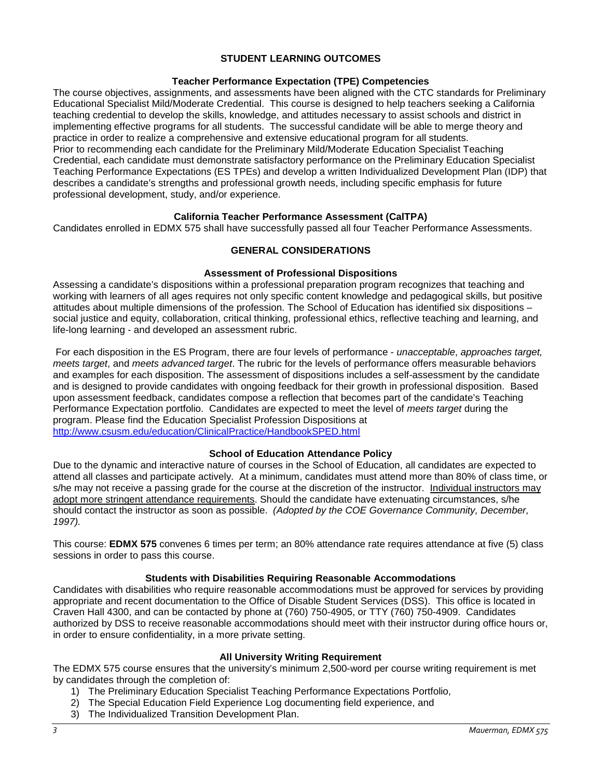## **STUDENT LEARNING OUTCOMES**

## **Teacher Performance Expectation (TPE) Competencies**

The course objectives, assignments, and assessments have been aligned with the CTC standards for Preliminary Educational Specialist Mild/Moderate Credential. This course is designed to help teachers seeking a California teaching credential to develop the skills, knowledge, and attitudes necessary to assist schools and district in implementing effective programs for all students. The successful candidate will be able to merge theory and practice in order to realize a comprehensive and extensive educational program for all students. Prior to recommending each candidate for the Preliminary Mild/Moderate Education Specialist Teaching Credential, each candidate must demonstrate satisfactory performance on the Preliminary Education Specialist Teaching Performance Expectations (ES TPEs) and develop a written Individualized Development Plan (IDP) that describes a candidate's strengths and professional growth needs, including specific emphasis for future professional development, study, and/or experience.

## **California Teacher Performance Assessment (CalTPA)**

Candidates enrolled in EDMX 575 shall have successfully passed all four Teacher Performance Assessments.

## **GENERAL CONSIDERATIONS**

### **Assessment of Professional Dispositions**

Assessing a candidate's dispositions within a professional preparation program recognizes that teaching and working with learners of all ages requires not only specific content knowledge and pedagogical skills, but positive attitudes about multiple dimensions of the profession. The School of Education has identified six dispositions – social justice and equity, collaboration, critical thinking, professional ethics, reflective teaching and learning, and life-long learning - and developed an assessment rubric.

For each disposition in the ES Program, there are four levels of performance - *unacceptable*, *approaches target, meets target*, and *meets advanced target*. The rubric for the levels of performance offers measurable behaviors and examples for each disposition. The assessment of dispositions includes a self-assessment by the candidate and is designed to provide candidates with ongoing feedback for their growth in professional disposition. Based upon assessment feedback, candidates compose a reflection that becomes part of the candidate's Teaching Performance Expectation portfolio. Candidates are expected to meet the level of *meets target* during the program. Please find the Education Specialist Profession Dispositions at [http://www.csusm.edu/education/ClinicalPractice/HandbookSPED.html](https://bl2prd0510.outlook.com/owa/redir.aspx?C=BCCRQqSYiUGfF8D5o1hWda_4K252ddAIWfHJ-9hEDukuBafQrA7uFT9QzjT3BGXTnuKNALZtCyo.&URL=http%3a%2f%2fwww.csusm.edu%2feducation%2fClinicalPractice%2fHandbookSPED.html)

### **School of Education Attendance Policy**

Due to the dynamic and interactive nature of courses in the School of Education, all candidates are expected to attend all classes and participate actively. At a minimum, candidates must attend more than 80% of class time, or s/he may not receive a passing grade for the course at the discretion of the instructor. Individual instructors may adopt more stringent attendance requirements. Should the candidate have extenuating circumstances, s/he should contact the instructor as soon as possible. *(Adopted by the COE Governance Community, December, 1997).*

This course: **EDMX 575** convenes 6 times per term; an 80% attendance rate requires attendance at five (5) class sessions in order to pass this course.

### **Students with Disabilities Requiring Reasonable Accommodations**

Candidates with disabilities who require reasonable accommodations must be approved for services by providing appropriate and recent documentation to the Office of Disable Student Services (DSS). This office is located in Craven Hall 4300, and can be contacted by phone at (760) 750-4905, or TTY (760) 750-4909. Candidates authorized by DSS to receive reasonable accommodations should meet with their instructor during office hours or, in order to ensure confidentiality, in a more private setting.

### **All University Writing Requirement**

The EDMX 575 course ensures that the university's minimum 2,500-word per course writing requirement is met by candidates through the completion of:

- 1) The Preliminary Education Specialist Teaching Performance Expectations Portfolio,
- 2) The Special Education Field Experience Log documenting field experience, and
- 3) The Individualized Transition Development Plan.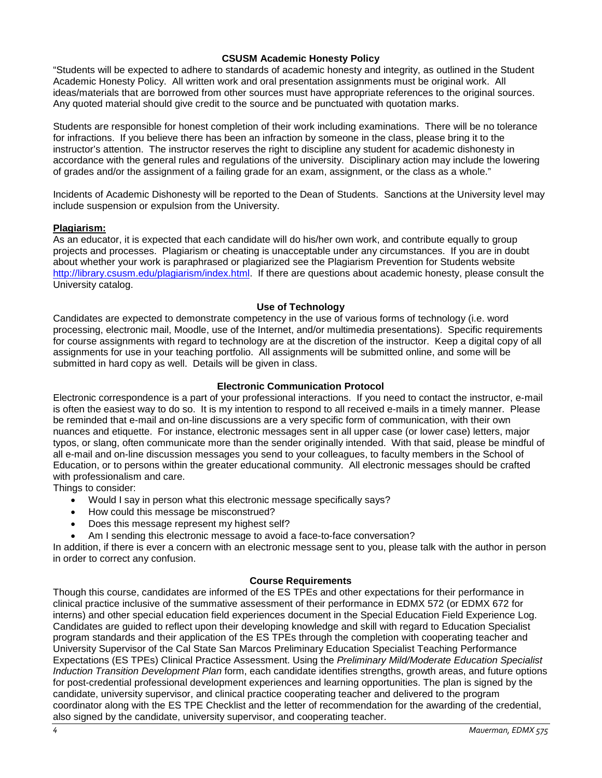## **CSUSM Academic Honesty Policy**

"Students will be expected to adhere to standards of academic honesty and integrity, as outlined in the Student Academic Honesty Policy. All written work and oral presentation assignments must be original work. All ideas/materials that are borrowed from other sources must have appropriate references to the original sources. Any quoted material should give credit to the source and be punctuated with quotation marks.

Students are responsible for honest completion of their work including examinations. There will be no tolerance for infractions. If you believe there has been an infraction by someone in the class, please bring it to the instructor's attention. The instructor reserves the right to discipline any student for academic dishonesty in accordance with the general rules and regulations of the university. Disciplinary action may include the lowering of grades and/or the assignment of a failing grade for an exam, assignment, or the class as a whole."

Incidents of Academic Dishonesty will be reported to the Dean of Students. Sanctions at the University level may include suspension or expulsion from the University.

## **Plagiarism:**

As an educator, it is expected that each candidate will do his/her own work, and contribute equally to group projects and processes. Plagiarism or cheating is unacceptable under any circumstances. If you are in doubt about whether your work is paraphrased or plagiarized see the Plagiarism Prevention for Students website [http://library.csusm.edu/plagiarism/index.html.](http://library.csusm.edu/plagiarism/index.html) If there are questions about academic honesty, please consult the University catalog.

### **Use of Technology**

Candidates are expected to demonstrate competency in the use of various forms of technology (i.e. word processing, electronic mail, Moodle, use of the Internet, and/or multimedia presentations). Specific requirements for course assignments with regard to technology are at the discretion of the instructor. Keep a digital copy of all assignments for use in your teaching portfolio. All assignments will be submitted online, and some will be submitted in hard copy as well. Details will be given in class.

## **Electronic Communication Protocol**

Electronic correspondence is a part of your professional interactions. If you need to contact the instructor, e-mail is often the easiest way to do so. It is my intention to respond to all received e-mails in a timely manner. Please be reminded that e-mail and on-line discussions are a very specific form of communication, with their own nuances and etiquette. For instance, electronic messages sent in all upper case (or lower case) letters, major typos, or slang, often communicate more than the sender originally intended. With that said, please be mindful of all e-mail and on-line discussion messages you send to your colleagues, to faculty members in the School of Education, or to persons within the greater educational community. All electronic messages should be crafted with professionalism and care.

Things to consider:

- Would I say in person what this electronic message specifically says?
- How could this message be misconstrued?
- Does this message represent my highest self?
- Am I sending this electronic message to avoid a face-to-face conversation?

In addition, if there is ever a concern with an electronic message sent to you, please talk with the author in person in order to correct any confusion.

### **Course Requirements**

Though this course, candidates are informed of the ES TPEs and other expectations for their performance in clinical practice inclusive of the summative assessment of their performance in EDMX 572 (or EDMX 672 for interns) and other special education field experiences document in the Special Education Field Experience Log. Candidates are guided to reflect upon their developing knowledge and skill with regard to Education Specialist program standards and their application of the ES TPEs through the completion with cooperating teacher and University Supervisor of the Cal State San Marcos Preliminary Education Specialist Teaching Performance Expectations (ES TPEs) Clinical Practice Assessment. Using the *Preliminary Mild/Moderate Education Specialist Induction Transition Development Plan* form, each candidate identifies strengths, growth areas, and future options for post-credential professional development experiences and learning opportunities. The plan is signed by the candidate, university supervisor, and clinical practice cooperating teacher and delivered to the program coordinator along with the ES TPE Checklist and the letter of recommendation for the awarding of the credential, also signed by the candidate, university supervisor, and cooperating teacher.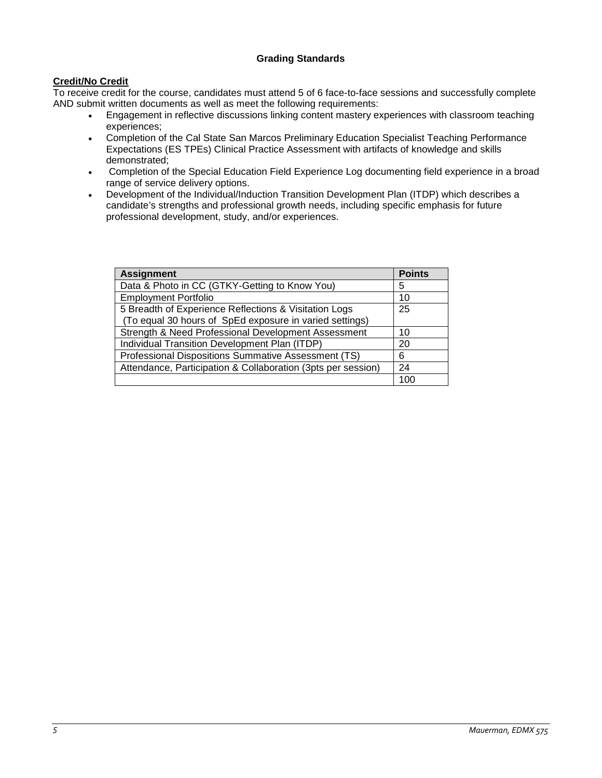## **Grading Standards**

# **Credit/No Credit**

To receive credit for the course, candidates must attend 5 of 6 face-to-face sessions and successfully complete AND submit written documents as well as meet the following requirements:

- Engagement in reflective discussions linking content mastery experiences with classroom teaching experiences;
- Completion of the Cal State San Marcos Preliminary Education Specialist Teaching Performance Expectations (ES TPEs) Clinical Practice Assessment with artifacts of knowledge and skills demonstrated;
- Completion of the Special Education Field Experience Log documenting field experience in a broad range of service delivery options.
- Development of the Individual/Induction Transition Development Plan (ITDP) which describes a candidate's strengths and professional growth needs, including specific emphasis for future professional development, study, and/or experiences.

| <b>Assignment</b>                                                                                                | <b>Points</b> |
|------------------------------------------------------------------------------------------------------------------|---------------|
| Data & Photo in CC (GTKY-Getting to Know You)                                                                    | 5             |
| <b>Employment Portfolio</b>                                                                                      | 10            |
| 5 Breadth of Experience Reflections & Visitation Logs<br>(To equal 30 hours of SpEd exposure in varied settings) | 25            |
| Strength & Need Professional Development Assessment                                                              | 10            |
| Individual Transition Development Plan (ITDP)                                                                    | 20            |
| Professional Dispositions Summative Assessment (TS)                                                              | 6             |
| Attendance, Participation & Collaboration (3pts per session)                                                     | 24            |
|                                                                                                                  | 100           |